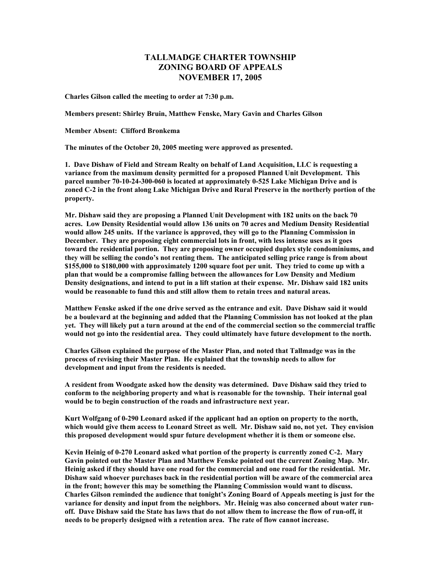## **TALLMADGE CHARTER TOWNSHIP ZONING BOARD OF APPEALS NOVEMBER 17, 2005**

**Charles Gilson called the meeting to order at 7:30 p.m.** 

**Members present: Shirley Bruin, Matthew Fenske, Mary Gavin and Charles Gilson** 

**Member Absent: Clifford Bronkema** 

**The minutes of the October 20, 2005 meeting were approved as presented.** 

**1. Dave Dishaw of Field and Stream Realty on behalf of Land Acquisition, LLC is requesting a variance from the maximum density permitted for a proposed Planned Unit Development. This parcel number 70-10-24-300-060 is located at approximately 0-525 Lake Michigan Drive and is zoned C-2 in the front along Lake Michigan Drive and Rural Preserve in the northerly portion of the property.** 

**Mr. Dishaw said they are proposing a Planned Unit Development with 182 units on the back 70 acres. Low Density Residential would allow 136 units on 70 acres and Medium Density Residential would allow 245 units. If the variance is approved, they will go to the Planning Commission in December. They are proposing eight commercial lots in front, with less intense uses as it goes toward the residential portion. They are proposing owner occupied duplex style condominiums, and they will be selling the condo's not renting them. The anticipated selling price range is from about \$155,000 to \$180,000 with approximately 1200 square foot per unit. They tried to come up with a plan that would be a compromise falling between the allowances for Low Density and Medium Density designations, and intend to put in a lift station at their expense. Mr. Dishaw said 182 units would be reasonable to fund this and still allow them to retain trees and natural areas.** 

**Matthew Fenske asked if the one drive served as the entrance and exit. Dave Dishaw said it would be a boulevard at the beginning and added that the Planning Commission has not looked at the plan yet. They will likely put a turn around at the end of the commercial section so the commercial traffic would not go into the residential area. They could ultimately have future development to the north.** 

**Charles Gilson explained the purpose of the Master Plan, and noted that Tallmadge was in the process of revising their Master Plan. He explained that the township needs to allow for development and input from the residents is needed.** 

**A resident from Woodgate asked how the density was determined. Dave Dishaw said they tried to conform to the neighboring property and what is reasonable for the township. Their internal goal would be to begin construction of the roads and infrastructure next year.** 

**Kurt Wolfgang of 0-290 Leonard asked if the applicant had an option on property to the north, which would give them access to Leonard Street as well. Mr. Dishaw said no, not yet. They envision this proposed development would spur future development whether it is them or someone else.** 

**Kevin Heinig of 0-270 Leonard asked what portion of the property is currently zoned C-2. Mary Gavin pointed out the Master Plan and Matthew Fenske pointed out the current Zoning Map. Mr. Heinig asked if they should have one road for the commercial and one road for the residential. Mr. Dishaw said whoever purchases back in the residential portion will be aware of the commercial area in the front; however this may be something the Planning Commission would want to discuss. Charles Gilson reminded the audience that tonight's Zoning Board of Appeals meeting is just for the variance for density and input from the neighbors. Mr. Heinig was also concerned about water runoff. Dave Dishaw said the State has laws that do not allow them to increase the flow of run-off, it needs to be properly designed with a retention area. The rate of flow cannot increase.**